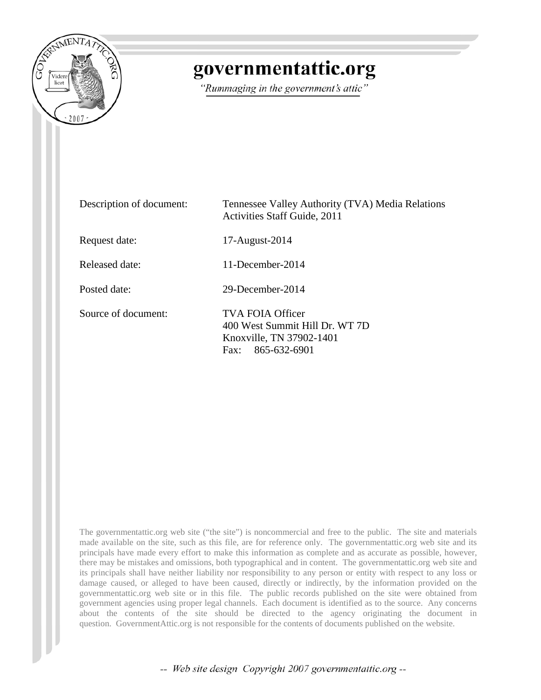

# governmentattic.org

"Rummaging in the government's attic"

| Description of document: | Tennessee Valley Authority (TVA) Media Relations<br>Activities Staff Guide, 2011                       |
|--------------------------|--------------------------------------------------------------------------------------------------------|
| Request date:            | 17-August-2014                                                                                         |
| Released date:           | $11$ -December-2014                                                                                    |
| Posted date:             | 29-December-2014                                                                                       |
| Source of document:      | TVA FOIA Officer<br>400 West Summit Hill Dr. WT 7D<br>Knoxville, TN 37902-1401<br>865-632-6901<br>Fax: |

The governmentattic.org web site ("the site") is noncommercial and free to the public. The site and materials made available on the site, such as this file, are for reference only. The governmentattic.org web site and its principals have made every effort to make this information as complete and as accurate as possible, however, there may be mistakes and omissions, both typographical and in content. The governmentattic.org web site and its principals shall have neither liability nor responsibility to any person or entity with respect to any loss or damage caused, or alleged to have been caused, directly or indirectly, by the information provided on the governmentattic.org web site or in this file. The public records published on the site were obtained from government agencies using proper legal channels. Each document is identified as to the source. Any concerns about the contents of the site should be directed to the agency originating the document in question. GovernmentAttic.org is not responsible for the contents of documents published on the website.

-- Web site design Copyright 2007 governmentattic.org --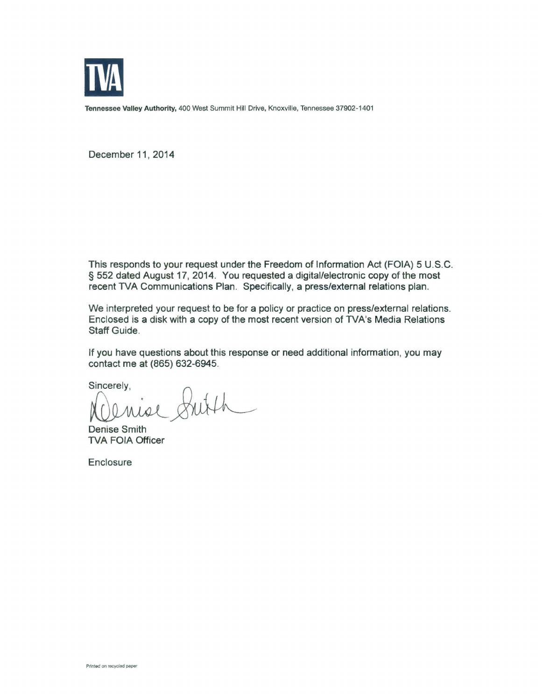

Tennessee Valley Authority, 400 West Summit Hill Drive, Knoxville, Tennessee 37902-1401

December 11, 2014

This responds to your request under the Freedom of Information Act (FOIA) 5 U.S.C. § 552 dated August 17, 2014. You requested a digital/electronic copy of the most recent TVA Communications Plan. Specifically, a press/external relations plan.

We interpreted your request to be for a policy or practice on press/external relations. Enclosed is a disk with a copy of the most recent version of TVA's Media Relations Staff Guide.

If you have questions about this response or need additional information, you may contact me at (865) 632-6945.

Sincerely,

Mise

Denise Smith TVA FOIA Officer

Enclosure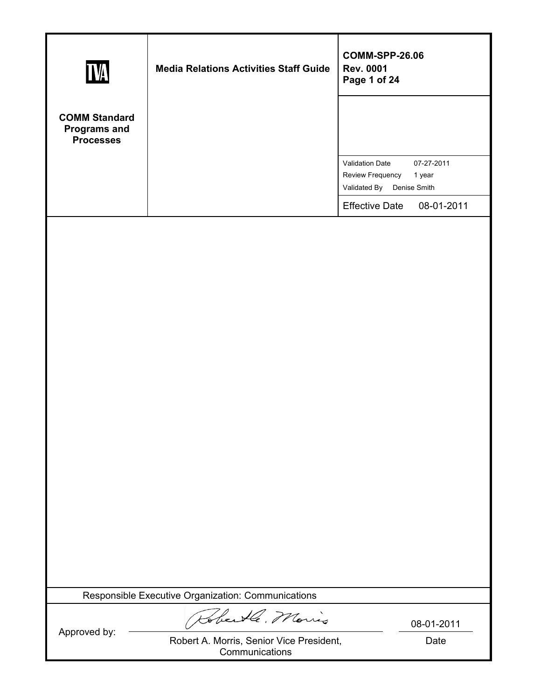| <b>TVA</b>                                                      | <b>Media Relations Activities Staff Guide</b>                                  | <b>COMM-SPP-26.06</b><br><b>Rev. 0001</b><br>Page 1 of 24                                   |
|-----------------------------------------------------------------|--------------------------------------------------------------------------------|---------------------------------------------------------------------------------------------|
| <b>COMM Standard</b><br><b>Programs and</b><br><b>Processes</b> |                                                                                |                                                                                             |
|                                                                 |                                                                                | Validation Date<br>07-27-2011<br>Review Frequency<br>1 year<br>Validated By<br>Denise Smith |
|                                                                 |                                                                                | <b>Effective Date</b><br>08-01-2011                                                         |
|                                                                 |                                                                                |                                                                                             |
|                                                                 | Responsible Executive Organization: Communications                             |                                                                                             |
| Approved by:                                                    | Robertle, Morris<br>Robert A. Morris, Senior Vice President,<br>Communications | 08-01-2011<br>Date                                                                          |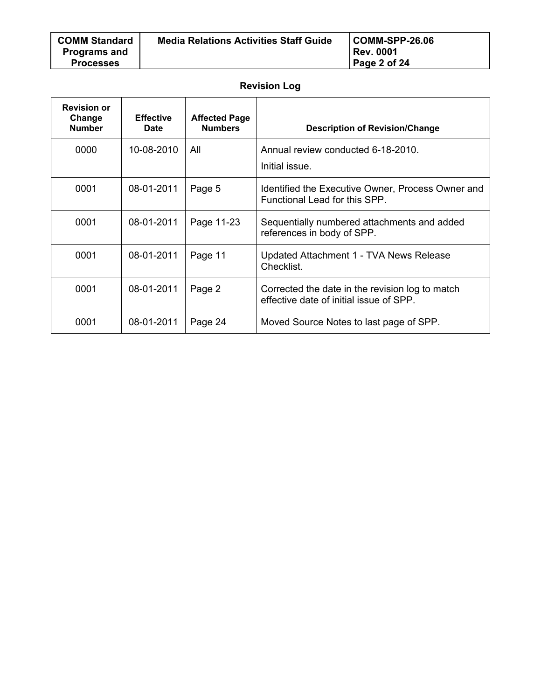| <b>COMM Standard</b> | <b>Media Relations Activities Staff Guide</b> | $ COMM-SPP-26.06 $ |
|----------------------|-----------------------------------------------|--------------------|
| <b>Programs and</b>  |                                               | Rev. 0001          |
| <b>Processes</b>     |                                               | Page 2 of 24       |
|                      |                                               |                    |

# **Revision Log**

| <b>Revision or</b><br>Change<br><b>Number</b> | <b>Effective</b><br><b>Date</b> | <b>Affected Page</b><br><b>Numbers</b> | <b>Description of Revision/Change</b>                                                      |
|-----------------------------------------------|---------------------------------|----------------------------------------|--------------------------------------------------------------------------------------------|
| 0000                                          | 10-08-2010                      | All                                    | Annual review conducted 6-18-2010.<br>Initial issue.                                       |
| 0001                                          | 08-01-2011                      | Page 5                                 | Identified the Executive Owner, Process Owner and<br>Functional Lead for this SPP.         |
| 0001                                          | 08-01-2011                      | Page 11-23                             | Sequentially numbered attachments and added<br>references in body of SPP.                  |
| 0001                                          | 08-01-2011                      | Page 11                                | Updated Attachment 1 - TVA News Release<br>Checklist.                                      |
| 0001                                          | 08-01-2011                      | Page 2                                 | Corrected the date in the revision log to match<br>effective date of initial issue of SPP. |
| 0001                                          | 08-01-2011                      | Page 24                                | Moved Source Notes to last page of SPP.                                                    |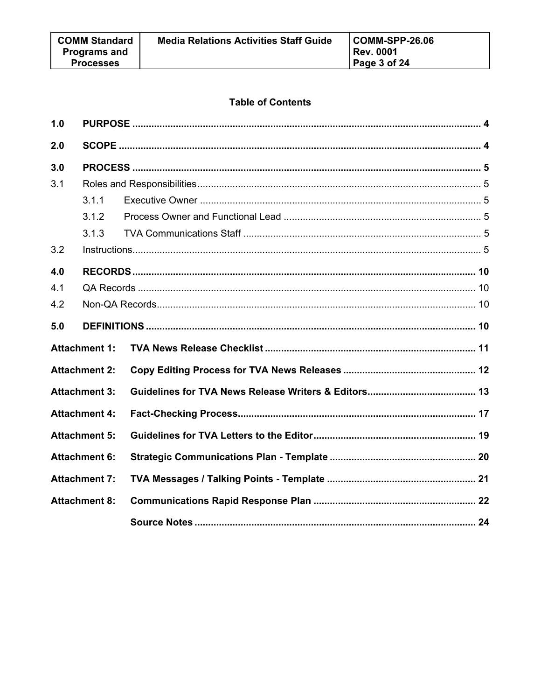## **Table of Contents**

| 1.0 |                      |  |  |
|-----|----------------------|--|--|
| 2.0 |                      |  |  |
| 3.0 |                      |  |  |
| 3.1 |                      |  |  |
|     | 3.1.1                |  |  |
|     | 3.1.2                |  |  |
|     | 3.1.3                |  |  |
| 3.2 |                      |  |  |
| 4.0 |                      |  |  |
| 4.1 |                      |  |  |
| 4.2 |                      |  |  |
| 5.0 |                      |  |  |
|     | <b>Attachment 1:</b> |  |  |
|     | <b>Attachment 2:</b> |  |  |
|     | <b>Attachment 3:</b> |  |  |
|     | <b>Attachment 4:</b> |  |  |
|     | <b>Attachment 5:</b> |  |  |
|     | <b>Attachment 6:</b> |  |  |
|     | <b>Attachment 7:</b> |  |  |
|     | <b>Attachment 8:</b> |  |  |
|     |                      |  |  |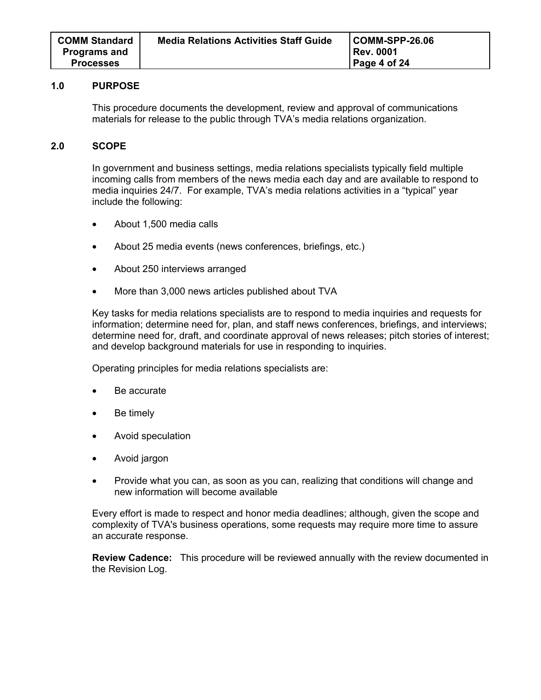#### **1.0 PURPOSE**

This procedure documents the development, review and approval of communications materials for release to the public through TVA's media relations organization.

## **2.0 SCOPE**

In government and business settings, media relations specialists typically field multiple incoming calls from members of the news media each day and are available to respond to media inquiries 24/7. For example, TVA's media relations activities in a "typical" year include the following:

- About 1,500 media calls
- About 25 media events (news conferences, briefings, etc.)
- About 250 interviews arranged
- More than 3,000 news articles published about TVA

Key tasks for media relations specialists are to respond to media inquiries and requests for information; determine need for, plan, and staff news conferences, briefings, and interviews; determine need for, draft, and coordinate approval of news releases; pitch stories of interest; and develop background materials for use in responding to inquiries.

Operating principles for media relations specialists are:

- Be accurate
- Be timely
- Avoid speculation
- Avoid jargon
- Provide what you can, as soon as you can, realizing that conditions will change and new information will become available

Every effort is made to respect and honor media deadlines; although, given the scope and complexity of TVA's business operations, some requests may require more time to assure an accurate response.

**Review Cadence:** This procedure will be reviewed annually with the review documented in the Revision Log.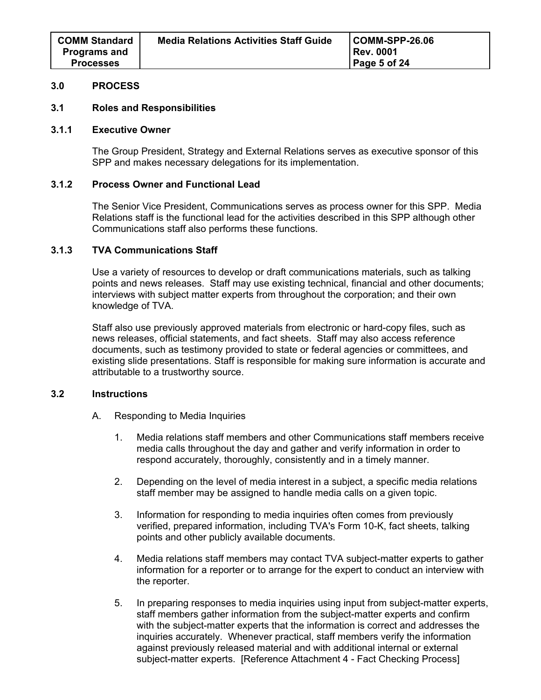## **3.0 PROCESS**

#### **3.1 Roles and Responsibilities**

#### **3.1.1 Executive Owner**

The Group President, Strategy and External Relations serves as executive sponsor of this SPP and makes necessary delegations for its implementation.

## **3.1.2 Process Owner and Functional Lead**

The Senior Vice President, Communications serves as process owner for this SPP. Media Relations staff is the functional lead for the activities described in this SPP although other Communications staff also performs these functions.

## **3.1.3 TVA Communications Staff**

Use a variety of resources to develop or draft communications materials, such as talking points and news releases. Staff may use existing technical, financial and other documents; interviews with subject matter experts from throughout the corporation; and their own knowledge of TVA.

Staff also use previously approved materials from electronic or hard-copy files, such as news releases, official statements, and fact sheets. Staff may also access reference documents, such as testimony provided to state or federal agencies or committees, and existing slide presentations. Staff is responsible for making sure information is accurate and attributable to a trustworthy source.

## **3.2 Instructions**

- A. Responding to Media Inquiries
	- 1. Media relations staff members and other Communications staff members receive media calls throughout the day and gather and verify information in order to respond accurately, thoroughly, consistently and in a timely manner.
	- 2. Depending on the level of media interest in a subject, a specific media relations staff member may be assigned to handle media calls on a given topic.
	- 3. Information for responding to media inquiries often comes from previously verified, prepared information, including TVA's Form 10-K, fact sheets, talking points and other publicly available documents.
	- 4. Media relations staff members may contact TVA subject-matter experts to gather information for a reporter or to arrange for the expert to conduct an interview with the reporter.
	- 5. In preparing responses to media inquiries using input from subject-matter experts, staff members gather information from the subject-matter experts and confirm with the subject-matter experts that the information is correct and addresses the inquiries accurately. Whenever practical, staff members verify the information against previously released material and with additional internal or external subject-matter experts. [Reference Attachment 4 - Fact Checking Process]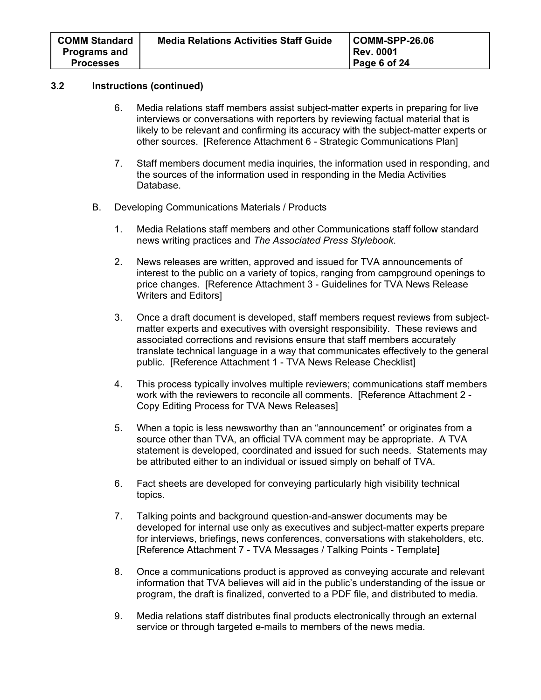- 6. Media relations staff members assist subject-matter experts in preparing for live interviews or conversations with reporters by reviewing factual material that is likely to be relevant and confirming its accuracy with the subject-matter experts or other sources. [Reference Attachment 6 - Strategic Communications Plan]
- 7. Staff members document media inquiries, the information used in responding, and the sources of the information used in responding in the Media Activities Database.
- B. Developing Communications Materials / Products
	- 1. Media Relations staff members and other Communications staff follow standard news writing practices and *The Associated Press Stylebook*.
	- 2. News releases are written, approved and issued for TVA announcements of interest to the public on a variety of topics, ranging from campground openings to price changes. [Reference Attachment 3 - Guidelines for TVA News Release Writers and Editors]
	- 3. Once a draft document is developed, staff members request reviews from subjectmatter experts and executives with oversight responsibility. These reviews and associated corrections and revisions ensure that staff members accurately translate technical language in a way that communicates effectively to the general public. [Reference Attachment 1 - TVA News Release Checklist]
	- 4. This process typically involves multiple reviewers; communications staff members work with the reviewers to reconcile all comments. [Reference Attachment 2 - Copy Editing Process for TVA News Releases]
	- 5. When a topic is less newsworthy than an "announcement" or originates from a source other than TVA, an official TVA comment may be appropriate. A TVA statement is developed, coordinated and issued for such needs. Statements may be attributed either to an individual or issued simply on behalf of TVA.
	- 6. Fact sheets are developed for conveying particularly high visibility technical topics.
	- 7. Talking points and background question-and-answer documents may be developed for internal use only as executives and subject-matter experts prepare for interviews, briefings, news conferences, conversations with stakeholders, etc. [Reference Attachment 7 - TVA Messages / Talking Points - Template]
	- 8. Once a communications product is approved as conveying accurate and relevant information that TVA believes will aid in the public's understanding of the issue or program, the draft is finalized, converted to a PDF file, and distributed to media.
	- 9. Media relations staff distributes final products electronically through an external service or through targeted e-mails to members of the news media.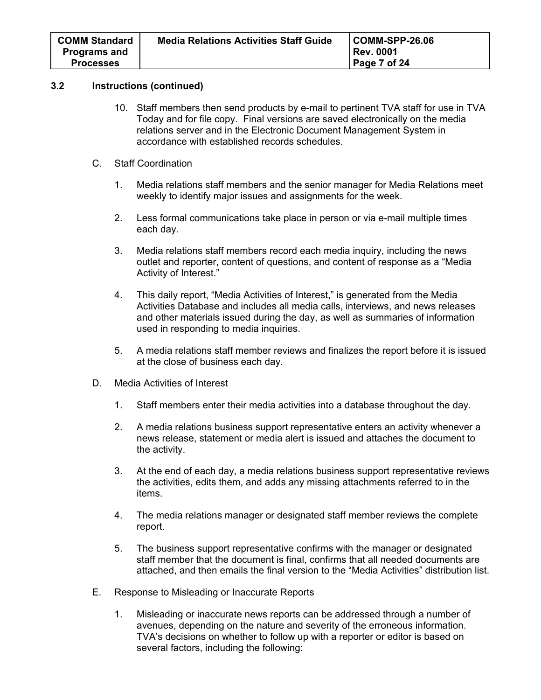- 10. Staff members then send products by e-mail to pertinent TVA staff for use in TVA Today and for file copy. Final versions are saved electronically on the media relations server and in the Electronic Document Management System in accordance with established records schedules.
- C. Staff Coordination
	- 1. Media relations staff members and the senior manager for Media Relations meet weekly to identify major issues and assignments for the week.
	- 2. Less formal communications take place in person or via e-mail multiple times each day.
	- 3. Media relations staff members record each media inquiry, including the news outlet and reporter, content of questions, and content of response as a "Media Activity of Interest."
	- 4. This daily report, "Media Activities of Interest," is generated from the Media Activities Database and includes all media calls, interviews, and news releases and other materials issued during the day, as well as summaries of information used in responding to media inquiries.
	- 5. A media relations staff member reviews and finalizes the report before it is issued at the close of business each day.
- D. Media Activities of Interest
	- 1. Staff members enter their media activities into a database throughout the day.
	- 2. A media relations business support representative enters an activity whenever a news release, statement or media alert is issued and attaches the document to the activity.
	- 3. At the end of each day, a media relations business support representative reviews the activities, edits them, and adds any missing attachments referred to in the items.
	- 4. The media relations manager or designated staff member reviews the complete report.
	- 5. The business support representative confirms with the manager or designated staff member that the document is final, confirms that all needed documents are attached, and then emails the final version to the "Media Activities" distribution list.
- E. Response to Misleading or Inaccurate Reports
	- 1. Misleading or inaccurate news reports can be addressed through a number of avenues, depending on the nature and severity of the erroneous information. TVA's decisions on whether to follow up with a reporter or editor is based on several factors, including the following: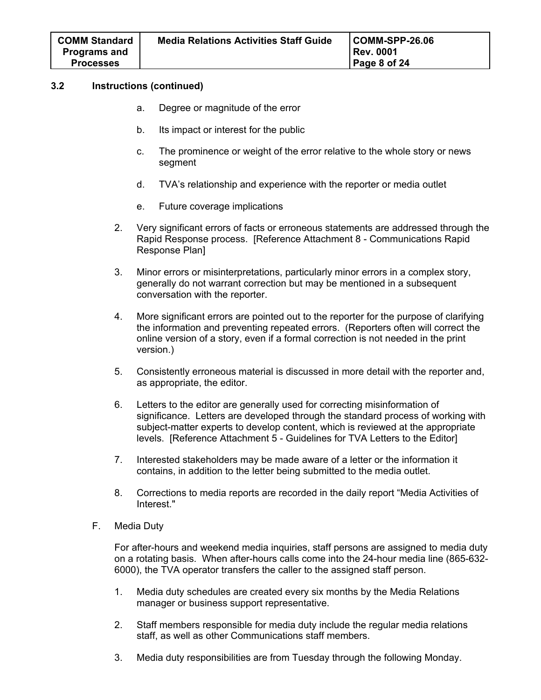- a. Degree or magnitude of the error
- b. Its impact or interest for the public
- c. The prominence or weight of the error relative to the whole story or news segment
- d. TVA's relationship and experience with the reporter or media outlet
- e. Future coverage implications
- 2. Very significant errors of facts or erroneous statements are addressed through the Rapid Response process. [Reference Attachment 8 - Communications Rapid Response Plan]
- 3. Minor errors or misinterpretations, particularly minor errors in a complex story, generally do not warrant correction but may be mentioned in a subsequent conversation with the reporter.
- 4. More significant errors are pointed out to the reporter for the purpose of clarifying the information and preventing repeated errors. (Reporters often will correct the online version of a story, even if a formal correction is not needed in the print version.)
- 5. Consistently erroneous material is discussed in more detail with the reporter and, as appropriate, the editor.
- 6. Letters to the editor are generally used for correcting misinformation of significance. Letters are developed through the standard process of working with subject-matter experts to develop content, which is reviewed at the appropriate levels. [Reference Attachment 5 - Guidelines for TVA Letters to the Editor]
- 7. Interested stakeholders may be made aware of a letter or the information it contains, in addition to the letter being submitted to the media outlet.
- 8. Corrections to media reports are recorded in the daily report "Media Activities of Interest."
- F. Media Duty

For after-hours and weekend media inquiries, staff persons are assigned to media duty on a rotating basis. When after-hours calls come into the 24-hour media line (865-632- 6000), the TVA operator transfers the caller to the assigned staff person.

- 1. Media duty schedules are created every six months by the Media Relations manager or business support representative.
- 2. Staff members responsible for media duty include the regular media relations staff, as well as other Communications staff members.
- 3. Media duty responsibilities are from Tuesday through the following Monday.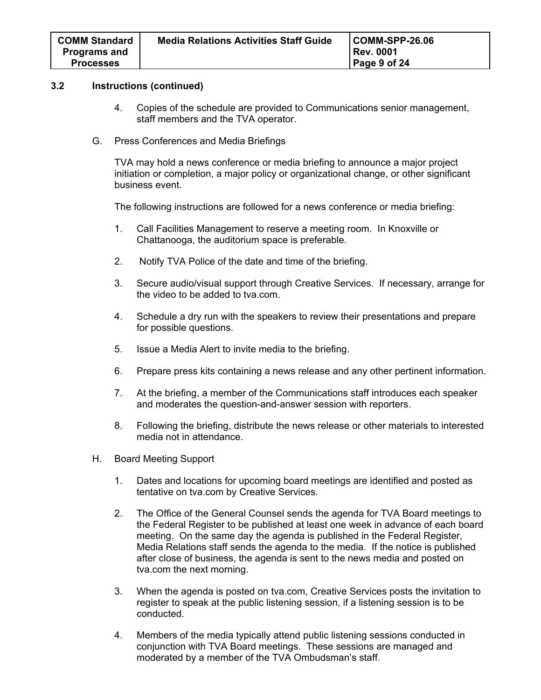- 4. Copies of the schedule are provided to Communications senior management, staff members and the TVA operator.
- G. Press Conferences and Media Briefings

TVA may hold a news conference or media briefing to announce a major project initiation or completion, a major policy or organizational change, or other significant business event.

The following instructions are followed for a news conference or media briefing:

- 1. Call Facilities Management to reserve a meeting room. In Knoxville or Chattanooga, the auditorium space is preferable.
- 2. Notify TVA Police of the date and time of the briefing.
- 3. Secure audio/visual support through Creative Services. If necessary, arrange for the video to be added to tva.com.
- 4. Schedule a dry run with the speakers to review their presentations and prepare for possible questions.
- 5. Issue a Media Alert to invite media to the briefing.
- 6. Prepare press kits containing a news release and any other pertinent information.
- 7. At the briefing, a member of the Communications staff introduces each speaker and moderates the question-and-answer session with reporters.
- 8. Following the briefing, distribute the news release or other materials to interested media not in attendance.
- H. Board Meeting Support
	- 1. Dates and locations for upcoming board meetings are identified and posted as tentative on tva.com by Creative Services.
	- 2. The Office of the General Counsel sends the agenda for TVA Board meetings to the Federal Register to be published at least one week in advance of each board meeting. On the same day the agenda is published in the Federal Register, Media Relations staff sends the agenda to the media. If the notice is published after close of business, the agenda is sent to the news media and posted on tva.com the next morning.
	- 3. When the agenda is posted on tva.com, Creative Services posts the invitation to register to speak at the public listening session, if a listening session is to be conducted.
	- 4. Members of the media typically attend public listening sessions conducted in conjunction with TVA Board meetings. These sessions are managed and moderated by a member of the TVA Ombudsman's staff.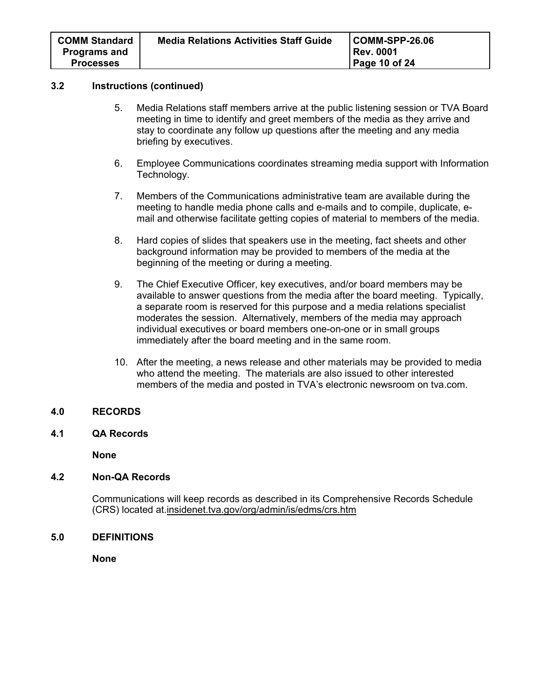- 5. Media Relations staff members arrive at the public listening session or TVA Board meeting in time to identify and greet members of the media as they arrive and stay to coordinate any follow up questions after the meeting and any media briefing by executives.
- 6. Employee Communications coordinates streaming media support with Information Technology.
- 7. Members of the Communications administrative team are available during the meeting to handle media phone calls and e-mails and to compile, duplicate, email and otherwise facilitate getting copies of material to members of the media.
- 8. Hard copies of slides that speakers use in the meeting, fact sheets and other background information may be provided to members of the media at the beginning of the meeting or during a meeting.
- 9. The Chief Executive Officer, key executives, and/or board members may be available to answer questions from the media after the board meeting. Typically, a separate room is reserved for this purpose and a media relations specialist moderates the session. Alternatively, members of the media may approach individual executives or board members one-on-one or in small groups immediately after the board meeting and in the same room.
- 10. After the meeting, a news release and other materials may be provided to media who attend the meeting. The materials are also issued to other interested members of the media and posted in TVA's electronic newsroom on tva.com.

## **4.0 RECORDS**

**4.1 QA Records** 

**None** 

## **4.2 Non-QA Records**

Communications will keep records as described in its Comprehensive Records Schedule (CRS) located at.insidenet.tva.gov/org/admin/is/edms/crs.htm

## **5.0 DEFINITIONS**

**None**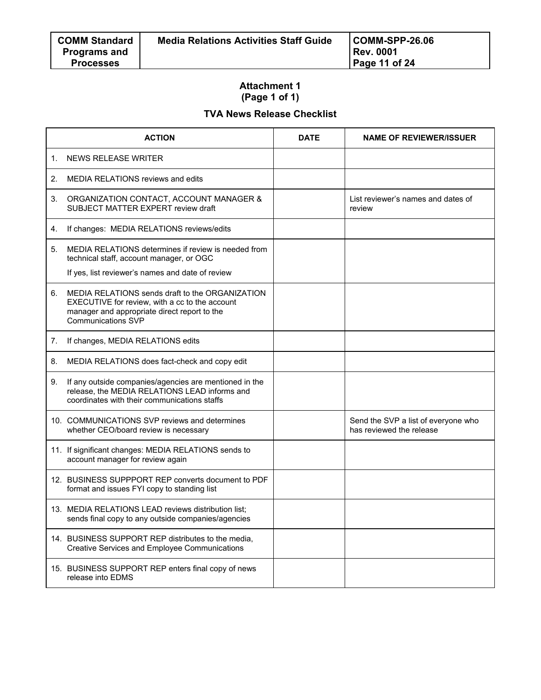## **Attachment 1 (Page 1 of 1)**

# **TVA News Release Checklist**

|             | <b>ACTION</b>                                                                                                                                                           | <b>DATE</b> | <b>NAME OF REVIEWER/ISSUER</b>                                  |
|-------------|-------------------------------------------------------------------------------------------------------------------------------------------------------------------------|-------------|-----------------------------------------------------------------|
| $\mathbf 1$ | NEWS RELEASE WRITER                                                                                                                                                     |             |                                                                 |
| 2.          | <b>MEDIA RELATIONS reviews and edits</b>                                                                                                                                |             |                                                                 |
| 3.          | ORGANIZATION CONTACT, ACCOUNT MANAGER &<br>SUBJECT MATTER EXPERT review draft                                                                                           |             | List reviewer's names and dates of<br>review                    |
| 4.          | If changes: MEDIA RELATIONS reviews/edits                                                                                                                               |             |                                                                 |
| 5.          | MEDIA RELATIONS determines if review is needed from<br>technical staff, account manager, or OGC                                                                         |             |                                                                 |
|             | If yes, list reviewer's names and date of review                                                                                                                        |             |                                                                 |
| 6.          | MEDIA RELATIONS sends draft to the ORGANIZATION<br>EXECUTIVE for review, with a cc to the account<br>manager and appropriate direct report to the<br>Communications SVP |             |                                                                 |
| 7.          | If changes, MEDIA RELATIONS edits                                                                                                                                       |             |                                                                 |
| 8.          | MEDIA RELATIONS does fact-check and copy edit                                                                                                                           |             |                                                                 |
| 9.          | If any outside companies/agencies are mentioned in the<br>release, the MEDIA RELATIONS LEAD informs and<br>coordinates with their communications staffs                 |             |                                                                 |
|             | 10. COMMUNICATIONS SVP reviews and determines<br>whether CEO/board review is necessary                                                                                  |             | Send the SVP a list of everyone who<br>has reviewed the release |
|             | 11. If significant changes: MEDIA RELATIONS sends to<br>account manager for review again                                                                                |             |                                                                 |
|             | 12. BUSINESS SUPPPORT REP converts document to PDF<br>format and issues FYI copy to standing list                                                                       |             |                                                                 |
|             | 13. MEDIA RELATIONS LEAD reviews distribution list;<br>sends final copy to any outside companies/agencies                                                               |             |                                                                 |
|             | 14. BUSINESS SUPPORT REP distributes to the media,<br><b>Creative Services and Employee Communications</b>                                                              |             |                                                                 |
|             | 15. BUSINESS SUPPORT REP enters final copy of news<br>release into EDMS                                                                                                 |             |                                                                 |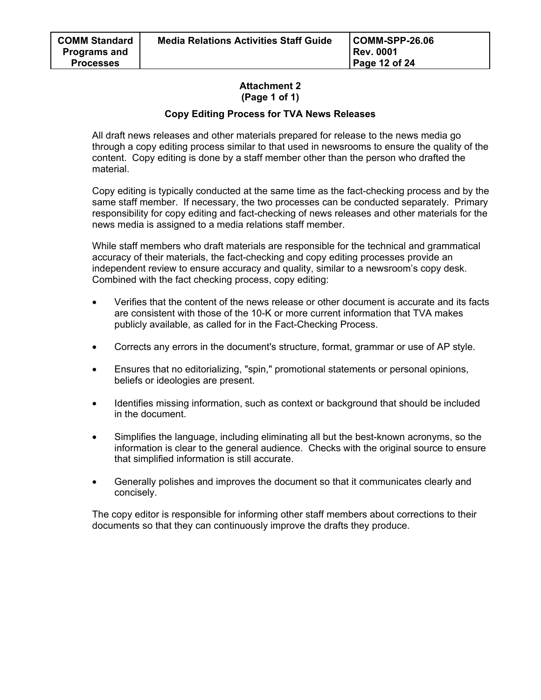## **Attachment 2 (Page 1 of 1)**

## **Copy Editing Process for TVA News Releases**

All draft news releases and other materials prepared for release to the news media go through a copy editing process similar to that used in newsrooms to ensure the quality of the content. Copy editing is done by a staff member other than the person who drafted the material.

Copy editing is typically conducted at the same time as the fact-checking process and by the same staff member. If necessary, the two processes can be conducted separately. Primary responsibility for copy editing and fact-checking of news releases and other materials for the news media is assigned to a media relations staff member.

While staff members who draft materials are responsible for the technical and grammatical accuracy of their materials, the fact-checking and copy editing processes provide an independent review to ensure accuracy and quality, similar to a newsroom's copy desk. Combined with the fact checking process, copy editing:

- Verifies that the content of the news release or other document is accurate and its facts are consistent with those of the 10-K or more current information that TVA makes publicly available, as called for in the Fact-Checking Process.
- Corrects any errors in the document's structure, format, grammar or use of AP style.
- Ensures that no editorializing, "spin," promotional statements or personal opinions, beliefs or ideologies are present.
- Identifies missing information, such as context or background that should be included in the document.
- Simplifies the language, including eliminating all but the best-known acronyms, so the information is clear to the general audience. Checks with the original source to ensure that simplified information is still accurate.
- Generally polishes and improves the document so that it communicates clearly and concisely.

The copy editor is responsible for informing other staff members about corrections to their documents so that they can continuously improve the drafts they produce.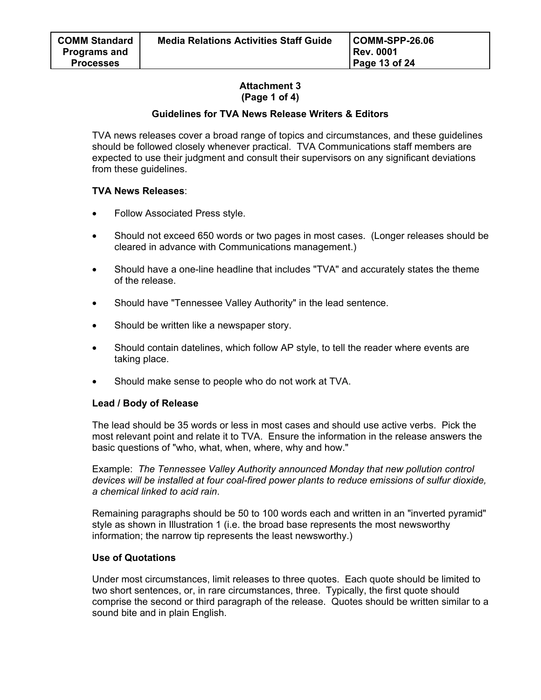## **Attachment 3 (Page 1 of 4)**

## **Guidelines for TVA News Release Writers & Editors**

TVA news releases cover a broad range of topics and circumstances, and these guidelines should be followed closely whenever practical. TVA Communications staff members are expected to use their judgment and consult their supervisors on any significant deviations from these guidelines.

## **TVA News Releases**:

- Follow Associated Press style.
- Should not exceed 650 words or two pages in most cases. (Longer releases should be cleared in advance with Communications management.)
- Should have a one-line headline that includes "TVA" and accurately states the theme of the release.
- Should have "Tennessee Valley Authority" in the lead sentence.
- Should be written like a newspaper story.
- Should contain datelines, which follow AP style, to tell the reader where events are taking place.
- Should make sense to people who do not work at TVA.

## **Lead / Body of Release**

The lead should be 35 words or less in most cases and should use active verbs. Pick the most relevant point and relate it to TVA. Ensure the information in the release answers the basic questions of "who, what, when, where, why and how."

Example: *The Tennessee Valley Authority announced Monday that new pollution control devices will be installed at four coal-fired power plants to reduce emissions of sulfur dioxide, a chemical linked to acid rain*.

Remaining paragraphs should be 50 to 100 words each and written in an "inverted pyramid" style as shown in Illustration 1 (i.e. the broad base represents the most newsworthy information; the narrow tip represents the least newsworthy.)

## **Use of Quotations**

Under most circumstances, limit releases to three quotes. Each quote should be limited to two short sentences, or, in rare circumstances, three. Typically, the first quote should comprise the second or third paragraph of the release. Quotes should be written similar to a sound bite and in plain English.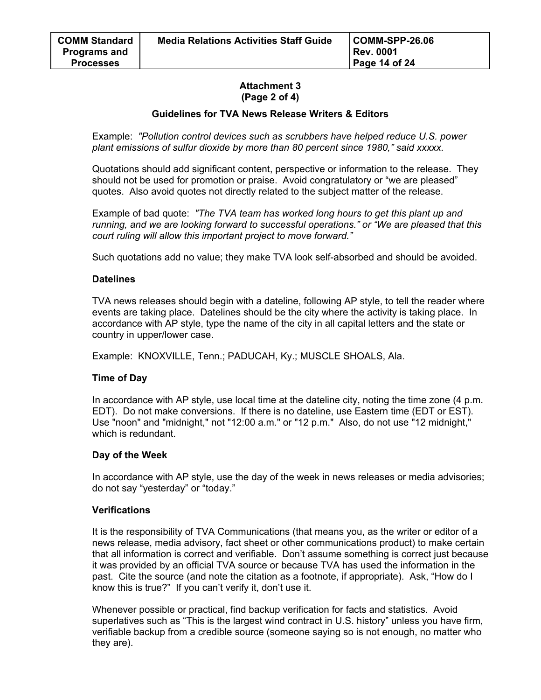## **Attachment 3 (Page 2 of 4)**

## **Guidelines for TVA News Release Writers & Editors**

Example: *"Pollution control devices such as scrubbers have helped reduce U.S. power plant emissions of sulfur dioxide by more than 80 percent since 1980," said xxxxx.* 

Quotations should add significant content, perspective or information to the release. They should not be used for promotion or praise. Avoid congratulatory or "we are pleased" quotes. Also avoid quotes not directly related to the subject matter of the release.

Example of bad quote: *"The TVA team has worked long hours to get this plant up and running, and we are looking forward to successful operations." or "We are pleased that this court ruling will allow this important project to move forward."*

Such quotations add no value; they make TVA look self-absorbed and should be avoided.

## **Datelines**

TVA news releases should begin with a dateline, following AP style, to tell the reader where events are taking place. Datelines should be the city where the activity is taking place. In accordance with AP style, type the name of the city in all capital letters and the state or country in upper/lower case.

Example: KNOXVILLE, Tenn.; PADUCAH, Ky.; MUSCLE SHOALS, Ala.

## **Time of Day**

In accordance with AP style, use local time at the dateline city, noting the time zone (4 p.m. EDT). Do not make conversions. If there is no dateline, use Eastern time (EDT or EST). Use "noon" and "midnight," not "12:00 a.m." or "12 p.m." Also, do not use "12 midnight," which is redundant.

#### **Day of the Week**

In accordance with AP style, use the day of the week in news releases or media advisories; do not say "yesterday" or "today."

## **Verifications**

It is the responsibility of TVA Communications (that means you, as the writer or editor of a news release, media advisory, fact sheet or other communications product) to make certain that all information is correct and verifiable. Don't assume something is correct just because it was provided by an official TVA source or because TVA has used the information in the past. Cite the source (and note the citation as a footnote, if appropriate). Ask, "How do I know this is true?" If you can't verify it, don't use it.

Whenever possible or practical, find backup verification for facts and statistics. Avoid superlatives such as "This is the largest wind contract in U.S. history" unless you have firm, verifiable backup from a credible source (someone saying so is not enough, no matter who they are).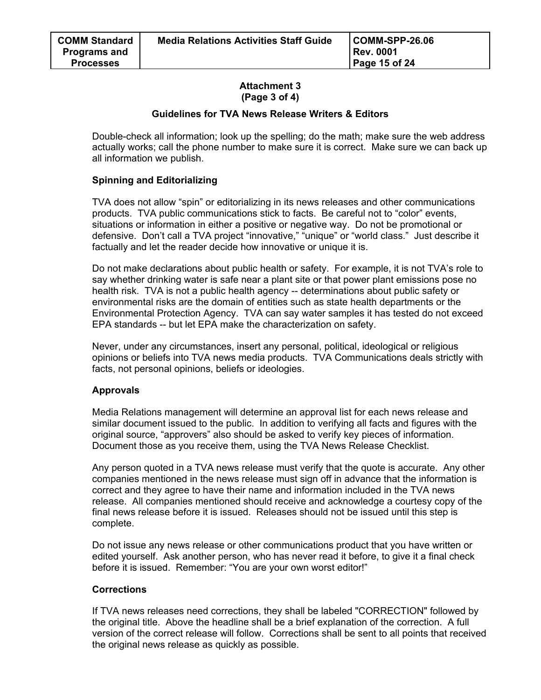## **Attachment 3 (Page 3 of 4)**

## **Guidelines for TVA News Release Writers & Editors**

Double-check all information; look up the spelling; do the math; make sure the web address actually works; call the phone number to make sure it is correct. Make sure we can back up all information we publish.

## **Spinning and Editorializing**

TVA does not allow "spin" or editorializing in its news releases and other communications products. TVA public communications stick to facts. Be careful not to "color" events, situations or information in either a positive or negative way. Do not be promotional or defensive. Don't call a TVA project "innovative," "unique" or "world class." Just describe it factually and let the reader decide how innovative or unique it is.

Do not make declarations about public health or safety. For example, it is not TVA's role to say whether drinking water is safe near a plant site or that power plant emissions pose no health risk. TVA is not a public health agency -- determinations about public safety or environmental risks are the domain of entities such as state health departments or the Environmental Protection Agency. TVA can say water samples it has tested do not exceed EPA standards -- but let EPA make the characterization on safety.

Never, under any circumstances, insert any personal, political, ideological or religious opinions or beliefs into TVA news media products. TVA Communications deals strictly with facts, not personal opinions, beliefs or ideologies.

## **Approvals**

Media Relations management will determine an approval list for each news release and similar document issued to the public. In addition to verifying all facts and figures with the original source, "approvers" also should be asked to verify key pieces of information. Document those as you receive them, using the TVA News Release Checklist.

Any person quoted in a TVA news release must verify that the quote is accurate. Any other companies mentioned in the news release must sign off in advance that the information is correct and they agree to have their name and information included in the TVA news release. All companies mentioned should receive and acknowledge a courtesy copy of the final news release before it is issued. Releases should not be issued until this step is complete.

Do not issue any news release or other communications product that you have written or edited yourself. Ask another person, who has never read it before, to give it a final check before it is issued. Remember: "You are your own worst editor!"

## **Corrections**

If TVA news releases need corrections, they shall be labeled "CORRECTION" followed by the original title. Above the headline shall be a brief explanation of the correction. A full version of the correct release will follow. Corrections shall be sent to all points that received the original news release as quickly as possible.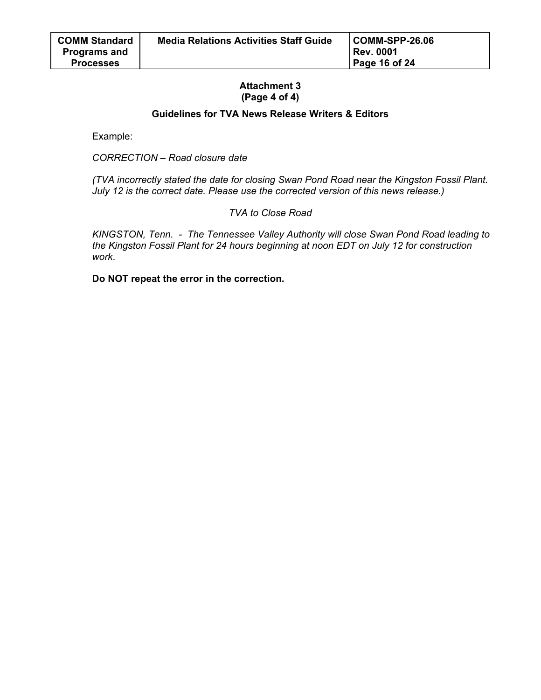## **Attachment 3 (Page 4 of 4)**

## **Guidelines for TVA News Release Writers & Editors**

Example:

*CORRECTION – Road closure date* 

*(TVA incorrectly stated the date for closing Swan Pond Road near the Kingston Fossil Plant. July 12 is the correct date. Please use the corrected version of this news release.)* 

*TVA to Close Road* 

*KINGSTON, Tenn. - The Tennessee Valley Authority will close Swan Pond Road leading to the Kingston Fossil Plant for 24 hours beginning at noon EDT on July 12 for construction work*.

**Do NOT repeat the error in the correction.**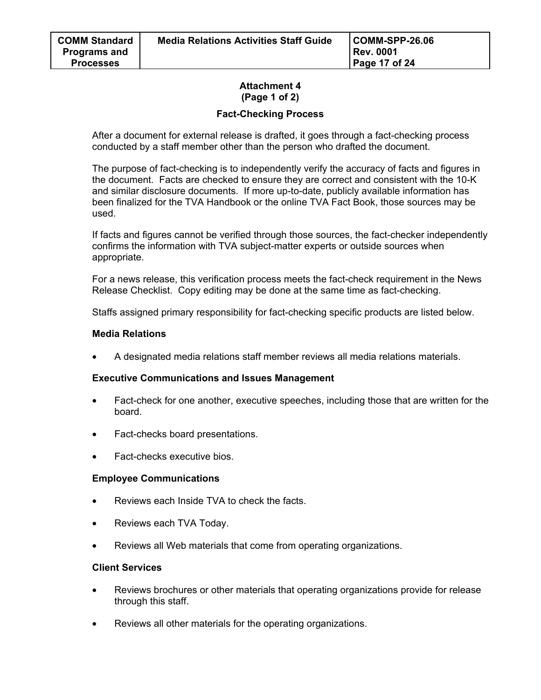## **Attachment 4 (Page 1 of 2)**

## **Fact-Checking Process**

After a document for external release is drafted, it goes through a fact-checking process conducted by a staff member other than the person who drafted the document.

The purpose of fact-checking is to independently verify the accuracy of facts and figures in the document. Facts are checked to ensure they are correct and consistent with the 10-K and similar disclosure documents. If more up-to-date, publicly available information has been finalized for the TVA Handbook or the online TVA Fact Book, those sources may be used.

If facts and figures cannot be verified through those sources, the fact-checker independently confirms the information with TVA subject-matter experts or outside sources when appropriate.

For a news release, this verification process meets the fact-check requirement in the News Release Checklist. Copy editing may be done at the same time as fact-checking.

Staffs assigned primary responsibility for fact-checking specific products are listed below.

## **Media Relations**

• A designated media relations staff member reviews all media relations materials.

## **Executive Communications and Issues Management**

- Fact-check for one another, executive speeches, including those that are written for the board.
- Fact-checks board presentations.
- Fact-checks executive bios.

## **Employee Communications**

- Reviews each Inside TVA to check the facts.
- Reviews each TVA Today.
- Reviews all Web materials that come from operating organizations.

## **Client Services**

- Reviews brochures or other materials that operating organizations provide for release through this staff.
- Reviews all other materials for the operating organizations.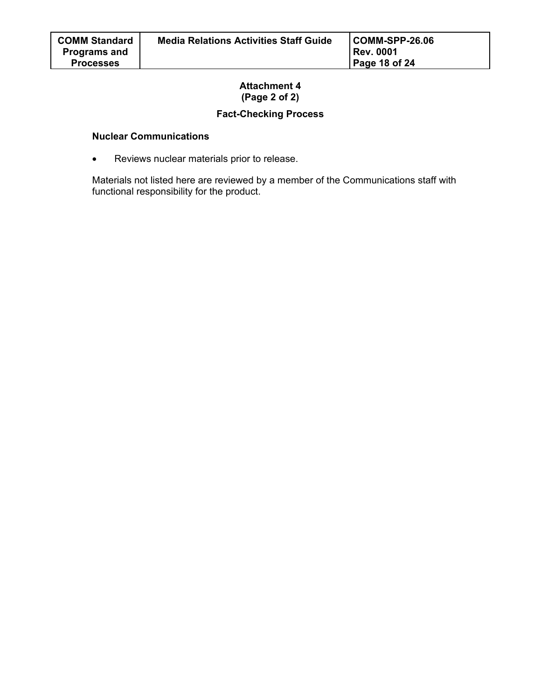# **Attachment 4 (Page 2 of 2)**

# **Fact-Checking Process**

## **Nuclear Communications**

• Reviews nuclear materials prior to release.

Materials not listed here are reviewed by a member of the Communications staff with functional responsibility for the product.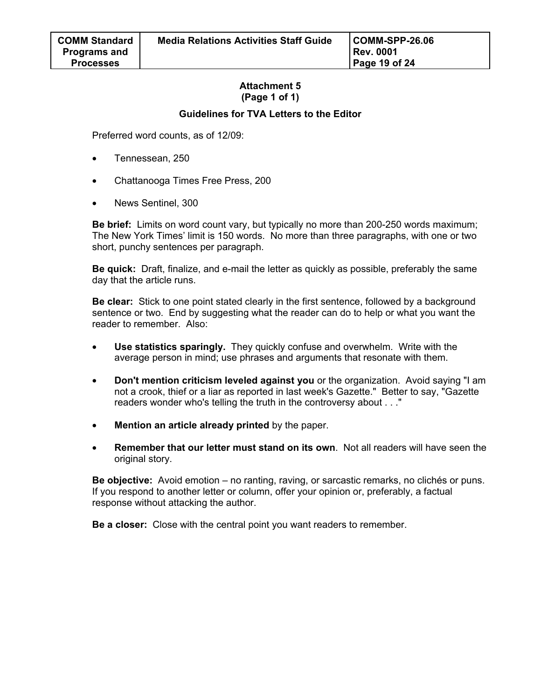## **Attachment 5 (Page 1 of 1)**

## **Guidelines for TVA Letters to the Editor**

Preferred word counts, as of 12/09:

• Tennessean, 250

**Processes** 

- Chattanooga Times Free Press, 200
- News Sentinel, 300

**Be brief:** Limits on word count vary, but typically no more than 200-250 words maximum; The New York Times' limit is 150 words. No more than three paragraphs, with one or two short, punchy sentences per paragraph.

**Be quick:** Draft, finalize, and e-mail the letter as quickly as possible, preferably the same day that the article runs.

**Be clear:** Stick to one point stated clearly in the first sentence, followed by a background sentence or two. End by suggesting what the reader can do to help or what you want the reader to remember. Also:

- **Use statistics sparingly.** They quickly confuse and overwhelm. Write with the average person in mind; use phrases and arguments that resonate with them.
- **Don't mention criticism leveled against you** or the organization. Avoid saying "I am not a crook, thief or a liar as reported in last week's Gazette." Better to say, "Gazette readers wonder who's telling the truth in the controversy about . . ."
- **Mention an article already printed** by the paper.
- **Remember that our letter must stand on its own**. Not all readers will have seen the original story.

**Be objective:** Avoid emotion – no ranting, raving, or sarcastic remarks, no clichés or puns. If you respond to another letter or column, offer your opinion or, preferably, a factual response without attacking the author.

**Be a closer:** Close with the central point you want readers to remember.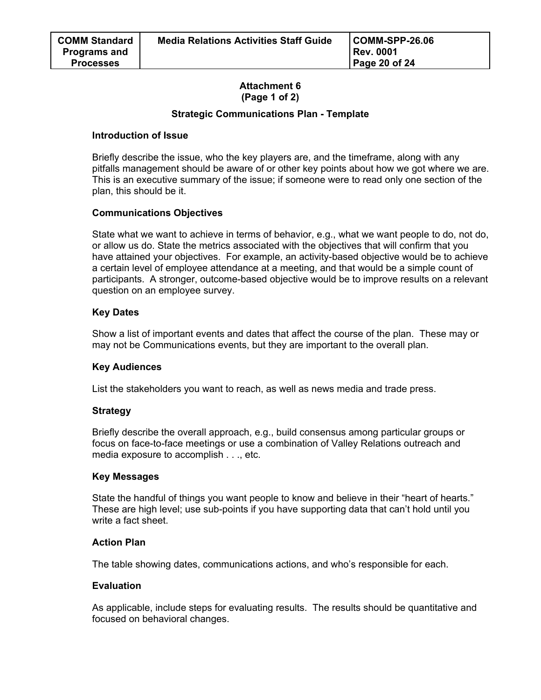## **Attachment 6 (Page 1 of 2)**

## **Strategic Communications Plan - Template**

## **Introduction of Issue**

Briefly describe the issue, who the key players are, and the timeframe, along with any pitfalls management should be aware of or other key points about how we got where we are. This is an executive summary of the issue; if someone were to read only one section of the plan, this should be it.

## **Communications Objectives**

State what we want to achieve in terms of behavior, e.g., what we want people to do, not do, or allow us do. State the metrics associated with the objectives that will confirm that you have attained your objectives. For example, an activity-based objective would be to achieve a certain level of employee attendance at a meeting, and that would be a simple count of participants. A stronger, outcome-based objective would be to improve results on a relevant question on an employee survey.

## **Key Dates**

Show a list of important events and dates that affect the course of the plan. These may or may not be Communications events, but they are important to the overall plan.

## **Key Audiences**

List the stakeholders you want to reach, as well as news media and trade press.

## **Strategy**

Briefly describe the overall approach, e.g., build consensus among particular groups or focus on face-to-face meetings or use a combination of Valley Relations outreach and media exposure to accomplish . . ., etc.

## **Key Messages**

State the handful of things you want people to know and believe in their "heart of hearts." These are high level; use sub-points if you have supporting data that can't hold until you write a fact sheet.

## **Action Plan**

The table showing dates, communications actions, and who's responsible for each.

## **Evaluation**

As applicable, include steps for evaluating results. The results should be quantitative and focused on behavioral changes.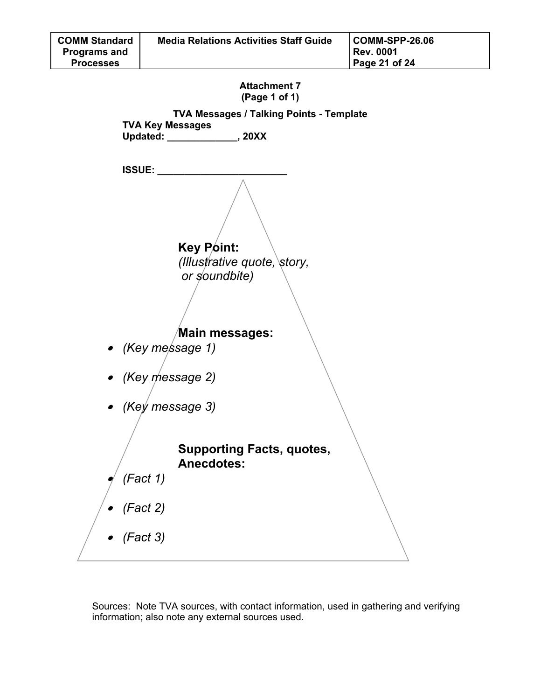



Sources: Note TVA sources, with contact information, used in gathering and verifying information; also note any external sources used.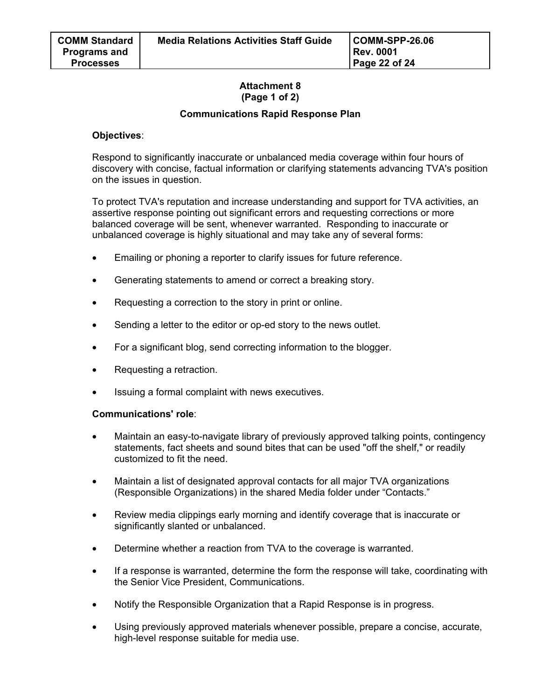## **Attachment 8 (Page 1 of 2)**

## **Communications Rapid Response Plan**

## **Objectives**:

Respond to significantly inaccurate or unbalanced media coverage within four hours of discovery with concise, factual information or clarifying statements advancing TVA's position on the issues in question.

To protect TVA's reputation and increase understanding and support for TVA activities, an assertive response pointing out significant errors and requesting corrections or more balanced coverage will be sent, whenever warranted. Responding to inaccurate or unbalanced coverage is highly situational and may take any of several forms:

- Emailing or phoning a reporter to clarify issues for future reference.
- Generating statements to amend or correct a breaking story.
- Requesting a correction to the story in print or online.
- Sending a letter to the editor or op-ed story to the news outlet.
- For a significant blog, send correcting information to the blogger.
- Requesting a retraction.
- Issuing a formal complaint with news executives.

## **Communications' role**:

- Maintain an easy-to-navigate library of previously approved talking points, contingency statements, fact sheets and sound bites that can be used "off the shelf," or readily customized to fit the need.
- Maintain a list of designated approval contacts for all major TVA organizations (Responsible Organizations) in the shared Media folder under "Contacts."
- Review media clippings early morning and identify coverage that is inaccurate or significantly slanted or unbalanced.
- Determine whether a reaction from TVA to the coverage is warranted.
- If a response is warranted, determine the form the response will take, coordinating with the Senior Vice President, Communications.
- Notify the Responsible Organization that a Rapid Response is in progress.
- Using previously approved materials whenever possible, prepare a concise, accurate, high-level response suitable for media use.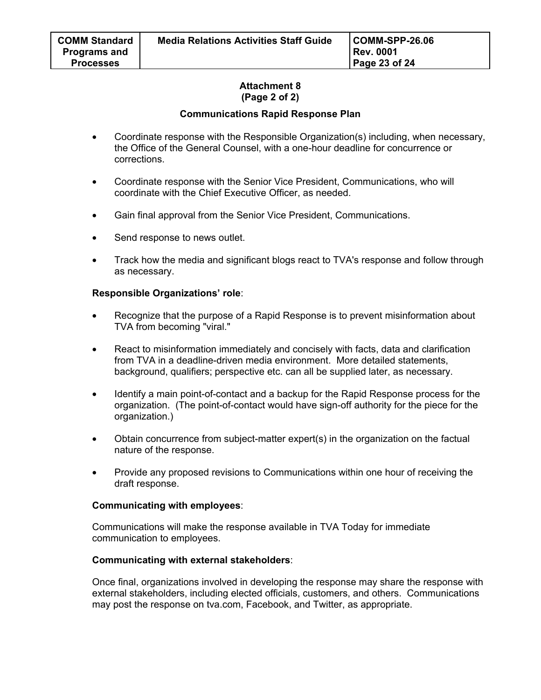## **Attachment 8 (Page 2 of 2)**

## **Communications Rapid Response Plan**

- Coordinate response with the Responsible Organization(s) including, when necessary, the Office of the General Counsel, with a one-hour deadline for concurrence or corrections.
- Coordinate response with the Senior Vice President, Communications, who will coordinate with the Chief Executive Officer, as needed.
- Gain final approval from the Senior Vice President, Communications.
- Send response to news outlet.
- Track how the media and significant blogs react to TVA's response and follow through as necessary.

## **Responsible Organizations' role**:

- Recognize that the purpose of a Rapid Response is to prevent misinformation about TVA from becoming "viral."
- React to misinformation immediately and concisely with facts, data and clarification from TVA in a deadline-driven media environment. More detailed statements, background, qualifiers; perspective etc. can all be supplied later, as necessary.
- Identify a main point-of-contact and a backup for the Rapid Response process for the organization. (The point-of-contact would have sign-off authority for the piece for the organization.)
- Obtain concurrence from subject-matter expert(s) in the organization on the factual nature of the response.
- Provide any proposed revisions to Communications within one hour of receiving the draft response.

## **Communicating with employees**:

Communications will make the response available in TVA Today for immediate communication to employees.

#### **Communicating with external stakeholders**:

Once final, organizations involved in developing the response may share the response with external stakeholders, including elected officials, customers, and others. Communications may post the response on tva.com, Facebook, and Twitter, as appropriate.